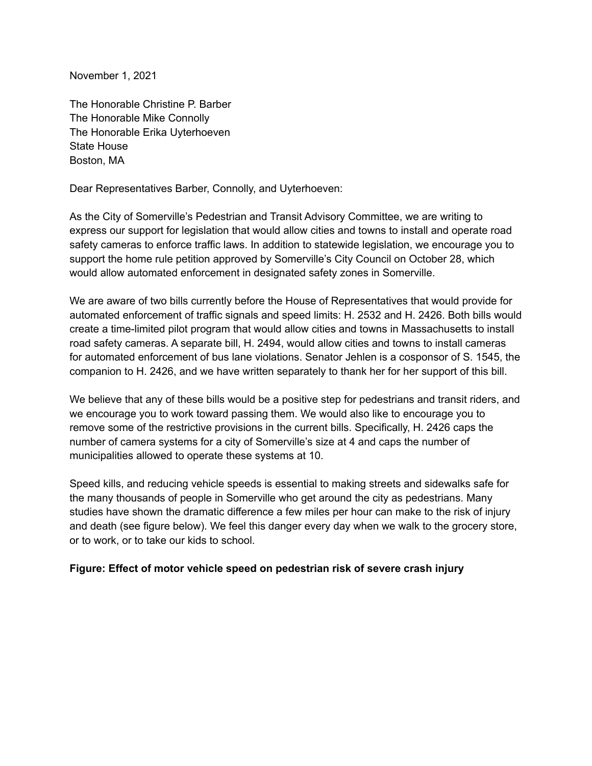November 1, 2021

The Honorable Christine P. Barber The Honorable Mike Connolly The Honorable Erika Uyterhoeven State House Boston, MA

Dear Representatives Barber, Connolly, and Uyterhoeven:

As the City of Somerville's Pedestrian and Transit Advisory Committee, we are writing to express our support for legislation that would allow cities and towns to install and operate road safety cameras to enforce traffic laws. In addition to statewide legislation, we encourage you to support the home rule petition approved by Somerville's City Council on October 28, which would allow automated enforcement in designated safety zones in Somerville.

We are aware of two bills currently before the House of Representatives that would provide for automated enforcement of traffic signals and speed limits: H. 2532 and H. 2426. Both bills would create a time-limited pilot program that would allow cities and towns in Massachusetts to install road safety cameras. A separate bill, H. 2494, would allow cities and towns to install cameras for automated enforcement of bus lane violations. Senator Jehlen is a cosponsor of S. 1545, the companion to H. 2426, and we have written separately to thank her for her support of this bill.

We believe that any of these bills would be a positive step for pedestrians and transit riders, and we encourage you to work toward passing them. We would also like to encourage you to remove some of the restrictive provisions in the current bills. Specifically, H. 2426 caps the number of camera systems for a city of Somerville's size at 4 and caps the number of municipalities allowed to operate these systems at 10.

Speed kills, and reducing vehicle speeds is essential to making streets and sidewalks safe for the many thousands of people in Somerville who get around the city as pedestrians. Many studies have shown the dramatic difference a few miles per hour can make to the risk of injury and death (see figure below). We feel this danger every day when we walk to the grocery store, or to work, or to take our kids to school.

## **Figure: Effect of motor vehicle speed on pedestrian risk of severe crash injury**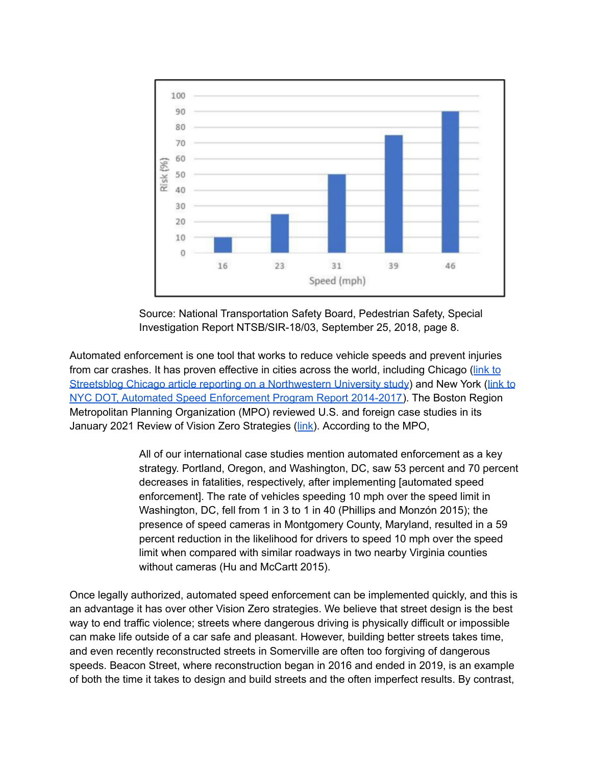

Source: National Transportation Safety Board, Pedestrian Safety, Special Investigation Report NTSB/SIR-18/03, September 25, 2018, page 8.

Automated enforcement is one tool that works to reduce vehicle speeds and prevent injuries from car crashes. It has proven effective in cities across the world, including Chicago ([link](https://chi.streetsblog.org/2017/03/20/study-red-light-cams-improve-safety-have-spillover-effect-on-other-intersections/) to Streetsblog Chicago article reporting on a [Northwestern](https://chi.streetsblog.org/2017/03/20/study-red-light-cams-improve-safety-have-spillover-effect-on-other-intersections/) University study) and New York ([link](http://www.nyc.gov/html/dot/downloads/pdf/speed-camera-report-june2018.pdf) to NYC DOT, Automated Speed [Enforcement](http://www.nyc.gov/html/dot/downloads/pdf/speed-camera-report-june2018.pdf) Program Report 2014-2017). The Boston Region Metropolitan Planning Organization (MPO) reviewed U.S. and foreign case studies in its January 2021 Review of Vision Zero Strategies ([link](https://www.ctps.org/data/html/studies/bikeped/review-of-vision-zero-strategies/Review-of-Vision-Zero-Strategies.html)). According to the MPO,

> All of our international case studies mention automated enforcement as a key strategy. Portland, Oregon, and Washington, DC, saw 53 percent and 70 percent decreases in fatalities, respectively, after implementing [automated speed enforcement]. The rate of vehicles speeding 10 mph over the speed limit in Washington, DC, fell from 1 in 3 to 1 in 40 (Phillips and Monzón 2015); the presence of speed cameras in Montgomery County, Maryland, resulted in a 59 percent reduction in the likelihood for drivers to speed 10 mph over the speed limit when compared with similar roadways in two nearby Virginia counties without cameras (Hu and McCartt 2015).

Once legally authorized, automated speed enforcement can be implemented quickly, and this is an advantage it has over other Vision Zero strategies. We believe that street design is the best way to end traffic violence; streets where dangerous driving is physically difficult or impossible can make life outside of a car safe and pleasant. However, building better streets takes time, and even recently reconstructed streets in Somerville are often too forgiving of dangerous speeds. Beacon Street, where reconstruction began in 2016 and ended in 2019, is an example of both the time it takes to design and build streets and the often imperfect results. By contrast,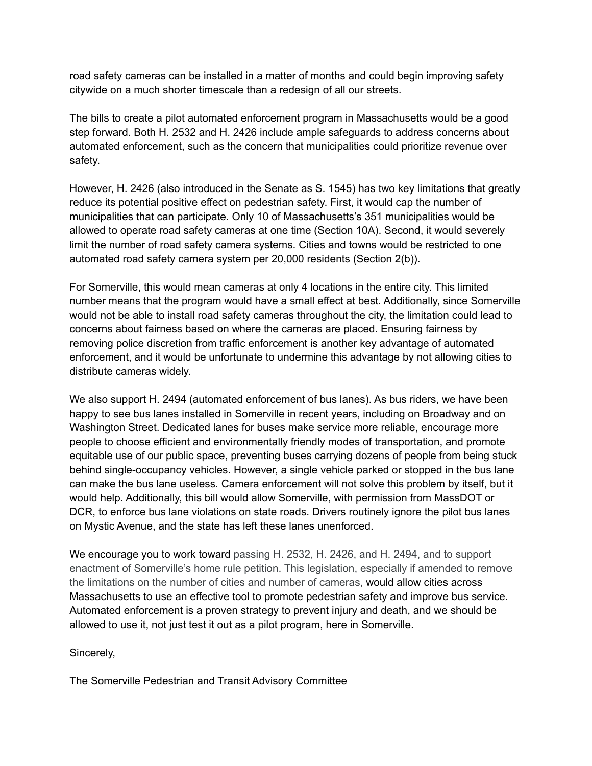road safety cameras can be installed in a matter of months and could begin improving safety citywide on a much shorter timescale than a redesign of all our streets.

The bills to create a pilot automated enforcement program in Massachusetts would be a good step forward. Both H. 2532 and H. 2426 include ample safeguards to address concerns about automated enforcement, such as the concern that municipalities could prioritize revenue over safety.

However, H. 2426 (also introduced in the Senate as S. 1545) has two key limitations that greatly reduce its potential positive effect on pedestrian safety. First, it would cap the number of municipalities that can participate. Only 10 of Massachusetts's 351 municipalities would be allowed to operate road safety cameras at one time (Section 10A). Second, it would severely limit the number of road safety camera systems. Cities and towns would be restricted to one automated road safety camera system per 20,000 residents (Section 2(b)).

For Somerville, this would mean cameras at only 4 locations in the entire city. This limited number means that the program would have a small effect at best. Additionally, since Somerville would not be able to install road safety cameras throughout the city, the limitation could lead to concerns about fairness based on where the cameras are placed. Ensuring fairness by removing police discretion from traffic enforcement is another key advantage of automated enforcement, and it would be unfortunate to undermine this advantage by not allowing cities to distribute cameras widely.

We also support H. 2494 (automated enforcement of bus lanes). As bus riders, we have been happy to see bus lanes installed in Somerville in recent years, including on Broadway and on Washington Street. Dedicated lanes for buses make service more reliable, encourage more people to choose efficient and environmentally friendly modes of transportation, and promote equitable use of our public space, preventing buses carrying dozens of people from being stuck behind single-occupancy vehicles. However, a single vehicle parked or stopped in the bus lane can make the bus lane useless. Camera enforcement will not solve this problem by itself, but it would help. Additionally, this bill would allow Somerville, with permission from MassDOT or DCR, to enforce bus lane violations on state roads. Drivers routinely ignore the pilot bus lanes on Mystic Avenue, and the state has left these lanes unenforced.

We encourage you to work toward passing H. 2532, H. 2426, and H. 2494, and to support enactment of Somerville's home rule petition. This legislation, especially if amended to remove the limitations on the number of cities and number of cameras, would allow cities across Massachusetts to use an effective tool to promote pedestrian safety and improve bus service. Automated enforcement is a proven strategy to prevent injury and death, and we should be allowed to use it, not just test it out as a pilot program, here in Somerville.

Sincerely,

The Somerville Pedestrian and Transit Advisory Committee